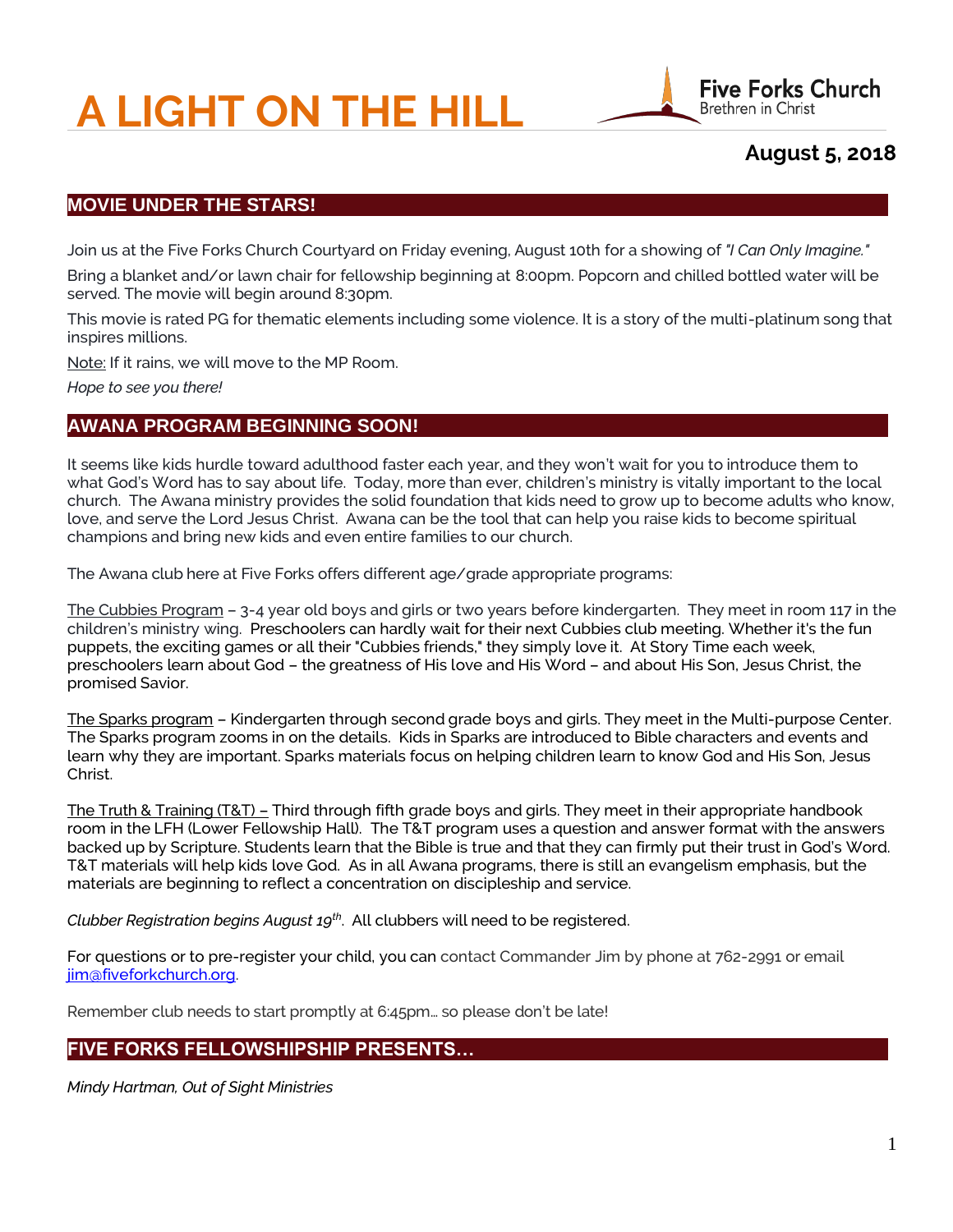# **A LIGHT ON THE HILL**



**August 5, 2018**

# **MOVIE UNDER THE STARS!**

Join us at the Five Forks Church Courtyard on Friday evening, August 10th for a showing of *"I Can Only Imagine."*

Bring a blanket and/or lawn chair for fellowship beginning at 8:00pm. Popcorn and chilled bottled water will be served. The movie will begin around 8:30pm.

This movie is rated PG for thematic elements including some violence. It is a story of the multi-platinum song that inspires millions.

Note: If it rains, we will move to the MP Room.

*Hope to see you there!*

# **AWANA PROGRAM BEGINNING SOON!**

It seems like kids hurdle toward adulthood faster each year, and they won't wait for you to introduce them to what God's Word has to say about life. Today, more than ever, children's ministry is vitally important to the local church. The Awana ministry provides the solid foundation that kids need to grow up to become adults who know, love, and serve the Lord Jesus Christ. Awana can be the tool that can help you raise kids to become spiritual champions and bring new kids and even entire families to our church.

The Awana club here at Five Forks offers different age/grade appropriate programs:

The Cubbies Program – 3-4 year old boys and girls or two years before kindergarten. They meet in room 117 in the children's ministry wing. Preschoolers can hardly wait for their next Cubbies club meeting. Whether it's the fun puppets, the exciting games or all their "Cubbies friends," they simply love it. At Story Time each week, preschoolers learn about God – the greatness of His love and His Word – and about His Son, Jesus Christ, the promised Savior.

The Sparks program – Kindergarten through second grade boys and girls. They meet in the Multi-purpose Center. The Sparks program zooms in on the details. Kids in Sparks are introduced to Bible characters and events and learn why they are important. Sparks materials focus on helping children learn to know God and His Son, Jesus Christ.

The Truth & Training (T&T) – Third through fifth grade boys and girls. They meet in their appropriate handbook room in the LFH (Lower Fellowship Hall). The T&T program uses a question and answer format with the answers backed up by Scripture. Students learn that the Bible is true and that they can firmly put their trust in God's Word. T&T materials will help kids love God. As in all Awana programs, there is still an evangelism emphasis, but the materials are beginning to reflect a concentration on discipleship and service.

*Clubber Registration begins August 19th* . All clubbers will need to be registered.

For questions or to pre-register your child, you can contact Commander Jim by phone at 762-2991 or email [jim@fiveforkchurch.org.](mailto:jim@fiveforkchurch.org)

Remember club needs to start promptly at 6:45pm… so please don't be late!

# **FIVE FORKS FELLOWSHIPSHIP PRESENTS…**

*Mindy Hartman, Out of Sight Ministries*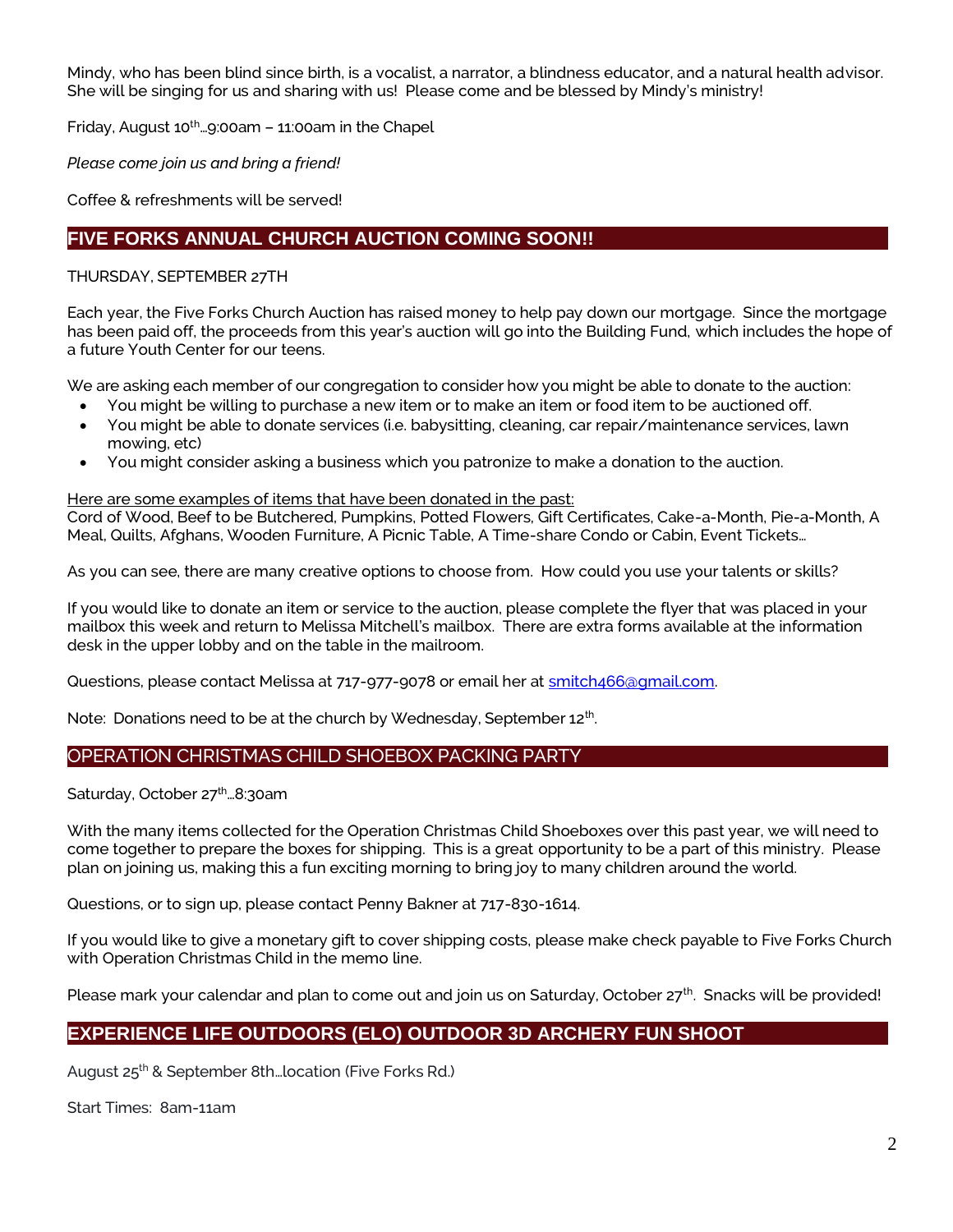Mindy, who has been blind since birth, is a vocalist, a narrator, a blindness educator, and a natural health advisor. She will be singing for us and sharing with us! Please come and be blessed by Mindy's ministry!

Friday, August  $10^{th}$ ... $9:00$ am –  $11:00$ am in the Chapel

*Please come join us and bring a friend!*

Coffee & refreshments will be served!

# **FIVE FORKS ANNUAL CHURCH AUCTION COMING SOON!!**

#### THURSDAY, SEPTEMBER 27TH

Each year, the Five Forks Church Auction has raised money to help pay down our mortgage. Since the mortgage has been paid off, the proceeds from this year's auction will go into the Building Fund, which includes the hope of a future Youth Center for our teens.

We are asking each member of our congregation to consider how you might be able to donate to the auction:

- You might be willing to purchase a new item or to make an item or food item to be auctioned off.
- You might be able to donate services (i.e. babysitting, cleaning, car repair/maintenance services, lawn mowing, etc)
- You might consider asking a business which you patronize to make a donation to the auction.

#### Here are some examples of items that have been donated in the past:

Cord of Wood, Beef to be Butchered, Pumpkins, Potted Flowers, Gift Certificates, Cake-a-Month, Pie-a-Month, A Meal, Quilts, Afghans, Wooden Furniture, A Picnic Table, A Time-share Condo or Cabin, Event Tickets…

As you can see, there are many creative options to choose from. How could you use your talents or skills?

If you would like to donate an item or service to the auction, please complete the flyer that was placed in your mailbox this week and return to Melissa Mitchell's mailbox. There are extra forms available at the information desk in the upper lobby and on the table in the mailroom.

Questions, please contact Melissa at 717-977-9078 or email her at smitch466@qmail.com.

Note: Donations need to be at the church by Wednesday, September 12<sup>th</sup>.

#### OPERATION CHRISTMAS CHILD SHOEBOX PACKING PARTY

Saturday, October 27<sup>th</sup>...8:30am

With the many items collected for the Operation Christmas Child Shoeboxes over this past year, we will need to come together to prepare the boxes for shipping. This is a great opportunity to be a part of this ministry. Please plan on joining us, making this a fun exciting morning to bring joy to many children around the world.

Questions, or to sign up, please contact Penny Bakner at 717-830-1614.

If you would like to give a monetary gift to cover shipping costs, please make check payable to Five Forks Church with Operation Christmas Child in the memo line.

Please mark your calendar and plan to come out and join us on Saturday, October 27<sup>th</sup>. Snacks will be provided!

# **EXPERIENCE LIFE OUTDOORS (ELO) OUTDOOR 3D ARCHERY FUN SHOOT**

August 25th & September 8th…location (Five Forks Rd.)

Start Times: 8am-11am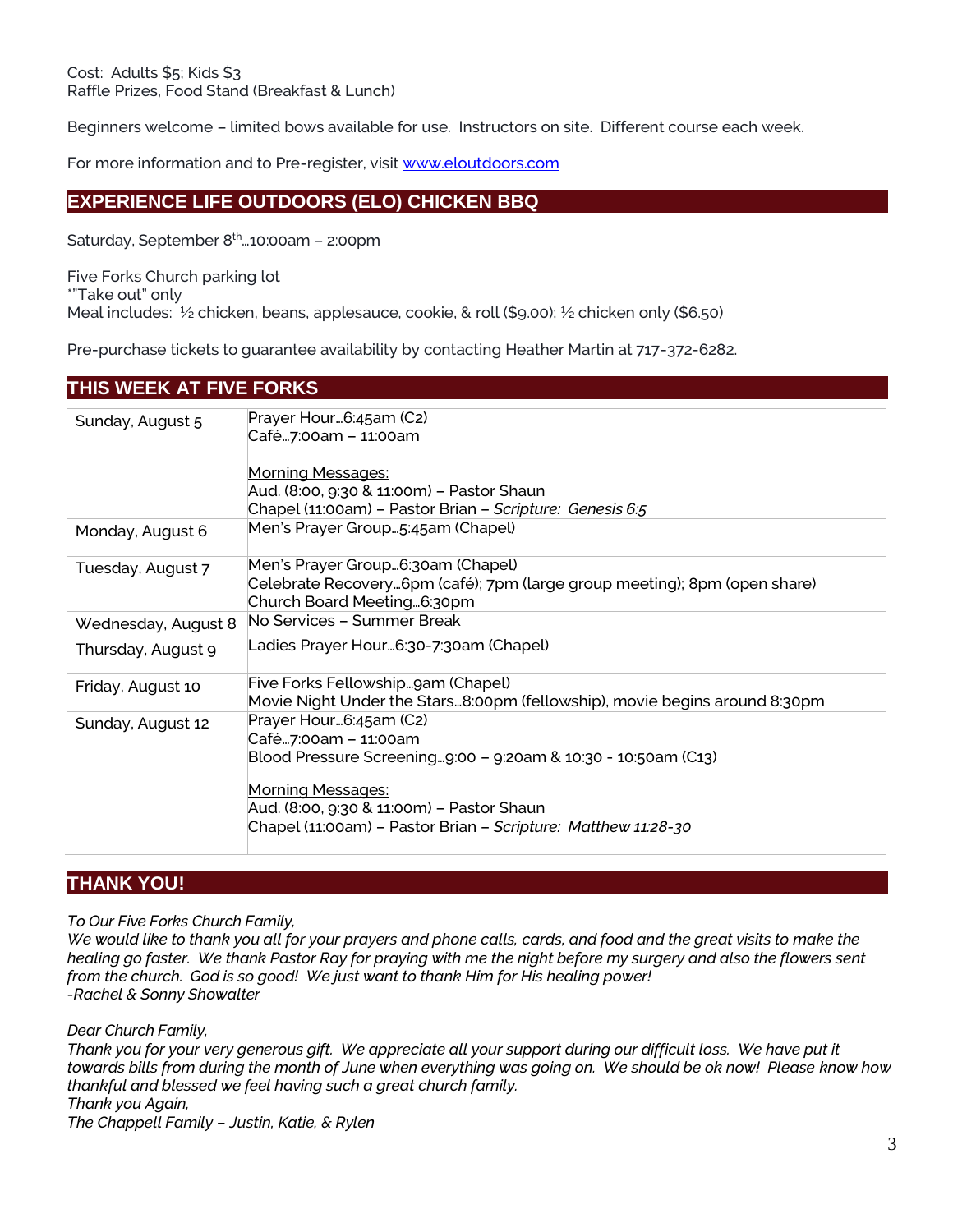Beginners welcome – limited bows available for use. Instructors on site. Different course each week.

For more information and to Pre-register, visi[t www.eloutdoors.com](http://www.eloutdoors.com/)

# **EXPERIENCE LIFE OUTDOORS (ELO) CHICKEN BBQ**

Saturday, September 8<sup>th</sup>...10:00am - 2:00pm

Five Forks Church parking lot \*"Take out" only Meal includes: ½ chicken, beans, applesauce, cookie, & roll (\$9.00); ½ chicken only (\$6.50)

Pre-purchase tickets to guarantee availability by contacting Heather Martin at 717-372-6282.

# **THIS WEEK AT FIVE FORKS**

| Sunday, August 5    | Prayer Hour6:45am (C2)                                                     |
|---------------------|----------------------------------------------------------------------------|
|                     | Café…7:00am – 11:00am                                                      |
|                     |                                                                            |
|                     | Morning Messages:                                                          |
|                     | Aud. (8:00, 9:30 & 11:00m) – Pastor Shaun                                  |
|                     | Chapel (11:00am) - Pastor Brian - Scripture: Genesis 6:5                   |
| Monday, August 6    | Men's Prayer Group5:45am (Chapel)                                          |
| Tuesday, August 7   | Men's Prayer Group6:30am (Chapel)                                          |
|                     | Celebrate Recovery6pm (café); 7pm (large group meeting); 8pm (open share)  |
|                     | Church Board Meeting6:30pm                                                 |
| Wednesday, August 8 | No Services - Summer Break                                                 |
| Thursday, August 9  | Ladies Prayer Hour…6:30-7:30am (Chapel)                                    |
| Friday, August 10   | Five Forks Fellowshipgam (Chapel)                                          |
|                     | Movie Night Under the Stars8:00pm (fellowship), movie begins around 8:30pm |
| Sunday, August 12   | Prayer Hour6:45am (C2)                                                     |
|                     | Café…7:00am – 11:00am                                                      |
|                     | Blood Pressure Screening9:00 - 9:20am & 10:30 - 10:50am (C13)              |
|                     |                                                                            |
|                     | Morning Messages:                                                          |
|                     | Aud. (8:00, 9:30 & 11:00m) – Pastor Shaun                                  |
|                     | Chapel (11:00am) - Pastor Brian - Scripture: Matthew 11:28-30              |
|                     |                                                                            |

# **THANK YOU!**

*To Our Five Forks Church Family,*

*We would like to thank you all for your prayers and phone calls, cards, and food and the great visits to make the healing go faster. We thank Pastor Ray for praying with me the night before my surgery and also the flowers sent from the church. God is so good! We just want to thank Him for His healing power! -Rachel & Sonny Showalter*

*Dear Church Family,*

Thank you for your very generous gift. We appreciate all your support during our difficult loss. We have put it *towards bills from during the month of June when everything was going on. We should be ok now! Please know how thankful and blessed we feel having such a great church family. Thank you Again,*

*The Chappell Family – Justin, Katie, & Rylen*